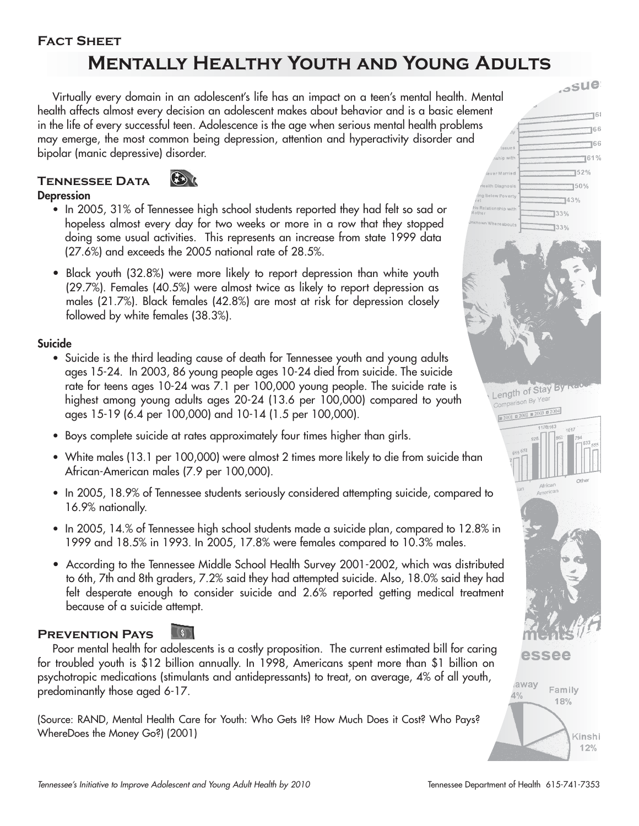#### **Fact Sheet**

# **Mentally Healthy Youth and Young Adults**

Virtually every domain in an adolescent's life has an impact on a teen's mental health. Mental health affects almost every decision an adolescent makes about behavior and is a basic element in the life of every successful teen. Adolescence is the age when serious mental health problems may emerge, the most common being depression, attention and hyperactivity disorder and bipolar (manic depressive) disorder.





#### **Depression**

- In 2005, 31% of Tennessee high school students reported they had felt so sad or hopeless almost every day for two weeks or more in a row that they stopped doing some usual activities. This represents an increase from state 1999 data (27.6%) and exceeds the 2005 national rate of 28.5%.
- Black youth (32.8%) were more likely to report depression than white youth (29.7%). Females (40.5%) were almost twice as likely to report depression as males (21.7%). Black females (42.8%) are most at risk for depression closely followed by white females (38.3%).

#### **Suicide**

- Suicide is the third leading cause of death for Tennessee youth and young adults ages 15-24. In 2003, 86 young people ages 10-24 died from suicide. The suicide rate for teens ages 10-24 was 7.1 per 100,000 young people. The suicide rate is highest among young adults ages 20-24 (13.6 per 100,000) compared to youth ages 15-19 (6.4 per 100,000) and 10-14 (1.5 per 100,000).
- Boys complete suicide at rates approximately four times higher than girls.
- White males (13.1 per 100,000) were almost 2 times more likely to die from suicide than African-American males (7.9 per 100,000).
- In 2005, 18.9% of Tennessee students seriously considered attempting suicide, compared to 16.9% nationally.
- In 2005, 14.% of Tennessee high school students made a suicide plan, compared to 12.8% in 1999 and 18.5% in 1993. In 2005, 17.8% were females compared to 10.3% males.
- According to the Tennessee Middle School Health Survey 2001-2002, which was distributed to 6th, 7th and 8th graders, 7.2% said they had attempted suicide. Also, 18.0% said they had felt desperate enough to consider suicide and 2.6% reported getting medical treatment because of a suicide attempt.

#### **Prevention Pays**

 $\begin{array}{c} \hline \end{array}$ 

Poor mental health for adolescents is a costly proposition. The current estimated bill for caring for troubled youth is \$12 billion annually. In 1998, Americans spent more than \$1 billion on psychotropic medications (stimulants and antidepressants) to treat, on average, 4% of all youth, predominantly those aged 6-17.

(Source: RAND, Mental Health Care for Youth: Who Gets It? How Much Does it Cost? Who Pays? WhereDoes the Money Go?) (2001)



 $351e$ 

Kinshi  $12%$